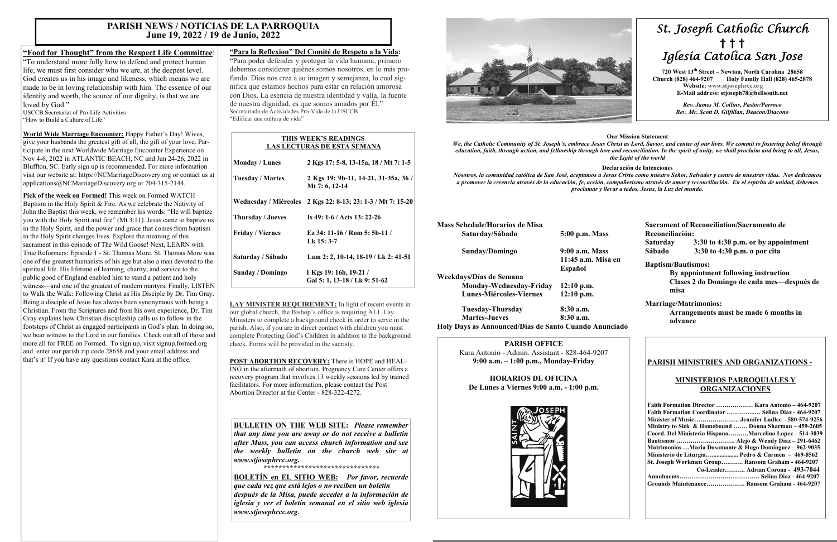# *St. Joseph Catholic Church*  **†****† †**  *Iglesia Catolica San Jose*

 **720 West 13th Street – Newton, North Carolina 28658 Church (828) 464-9207 Holy Family Hall (828) 465-2878 Website: [www.stjosephrcc.org](http://www.stjoseph4cc.org/) E-Mail address: stjoseph78@bellsouth.net** 

> *Rev. James M. Collins, Pastor/Parroco Rev. Mr. Scott D. Gilfillan, Deacon/Diacono*

#### **Our Mission Statement**

*We, the Catholic Community of St. Joseph's, embrace Jesus Christ as Lord, Savior, and center of our lives. We commit to fostering belief through* 

# *education, faith, through action, and fellowship through love and reconciliation. In the spirit of unity, we shall proclaim and bring to all, Jesus, the Light of the world*  **Declaración de Intenciones**  *Nosotros, la comunidad católica de San José, aceptamos a Jesus Cristo como nuestro Señor, Salvador y centro de nuestras vidas. Nos dedicamos a promover la creencia através de la educación, fe, acción, compañerismo através de amor y reconciliación. En el espíritu de unidad, debemos proclamar y llevar a todos, Jesus, la Luz del mundo.*  **Mass Schedule/Horarios de Misa**

| <b>NEARS SCHELLING LIVE AT 108 LIC IVITSA</b> |                    |
|-----------------------------------------------|--------------------|
| Saturday/Sábado                               | 5:00 p.m. Mass     |
| Sunday/Domingo                                | 9:00 a.m. Mass     |
|                                               | 11:45 a.m. Misa en |
|                                               | Español            |
| Weekdays/Días de Semana                       |                    |
| Monday-Wednesday-Friday                       | $12:10$ p.m.       |
| <b>Lunes-Miércoles-Viernes</b>                | $12:10$ p.m.       |
| Tuesday-Thursday                              | $8:30$ a.m.        |
| <b>Martes-Jueves</b>                          | 8:30 a.m.          |
|                                               |                    |

"To understand more fully how to defend and protect human life, we must first consider who we are, at the deepest level. God creates us in his image and likeness, which means we are made to be in loving relationship with him. The essence of our identity and worth, the source of our dignity, is that we are loved by God."

**Holy Days as Announced/Días de Santo Cuando Anunciado** 

**Sacrament of Reconciliation/Sacramento de Reconciliación: Saturday 3:30 to 4:30 p.m. or by appointment Sábado 3:30 to 4:30 p.m. o por cita** 

#### **Baptism/Bautismos:**

 **By appointment following instruction Clases 2 do Domingo de cada mes—después de misa** 

#### **Marriage/Matrimonios:**

 **Arrangements must be made 6 months in advance** 

#### **PARISH OFFICE**

Kara Antonio - Admin. Assistant - 828-464-9207 **9:00 a.m. – 1:00 p.m., Monday-Friday** 

**HORARIOS DE OFICINA De Lunes a Viernes 9:00 a.m. - 1:00 p.m.** 



#### **PARISH MINISTRIES AND ORGANIZATIONS -**

#### **MINISTERIOS PARROQUIALES Y ORGANIZACIONES**

| Faith Formation Director  Kara Antonio - 464-9207       |
|---------------------------------------------------------|
| Faith Formation Coordinator  Selina Diaz - 464-9207     |
|                                                         |
| Ministry to Sick & Homebound  Donna Sharman – 459-2605  |
| Coord. Del Ministerio HispanoMarcelino Lopez – 514-3039 |
|                                                         |
| Matrimonios Maria Dosamante & Hugo Dominguez – 962-9035 |
| Ministerio de Liturgia Pedro & Carmen $-469-8562$       |
| St. Joseph Workmen Group Ransom Graham - 464-9207       |
| Co-Leader Adrian Corona - 493-7044                      |
|                                                         |
| Grounds Maintenance Ransom Graham - 464-9207            |

## **"Food for Thought" from the Respect Life Committee**:

LAY MINISTER REQUIREMENT: In light of recent events in our global church, the Bishop's office is requiring ALL Lay Ministers to complete a background check in order to serve in the parish. Also, if you are in direct contact with children you must complete Protecting God's Children in addition to the background check. Forms will be provided in the sacristy.

USCCB Secretariat of Pro-Life Activities "How to Build a Culture of Life"

**World Wide Marriage Encounter:** Happy Father's Day! Wives, give your husbands the greatest gift of all, the gift of your love. Participate in the next Worldwide Marriage Encounter Experience on Nov 4-6, 2022 in ATLANTIC BEACH, NC and Jun 24-26, 2022 in Bluffton, SC. Early sign up is recommended. For more information visit our website at: https://NCMarriageDiscovery.org or contact us at applications@NCMarriageDiscovery.org or 704-315-2144.

**Pick of the week on Formed!** This week on Formed WATCH Baptism in the Holy Spirit & Fire. As we celebrate the Nativity of John the Baptist this week, we remember his words: "He will baptize you with the Holy Spirit and fire" (Mt 3:11). Jesus came to baptize us in the Holy Spirit, and the power and grace that comes from baptism in the Holy Spirit changes lives. Explore the meaning of this sacrament in this episode of The Wild Goose! Next, LEARN with True Reformers: Episode 1 - St. Thomas More. St. Thomas More was one of the greatest humanists of his age but also a man devoted to the spiritual life. His lifetime of learning, charity, and service to the public good of England enabled him to stand a patient and holy witness—and one of the greatest of modern martyrs. Finally, LISTEN to Walk the Walk: Following Christ as His Disciple by Dr. Tim Gray. Being a disciple of Jesus has always been synonymous with being a Christian. From the Scriptures and from his own experience, Dr. Tim Gray explains how Christian discipleship calls us to follow in the footsteps of Christ as engaged participants in God's plan. In doing so, we bear witness to the Lord in our families. Check out all of those and more all for FREE on Formed. To sign up, visit signup.formed.org and enter our parish zip code 28658 and your email address and that's it! If you have any questions contact Kara at the office.

## **"Para la Reflexion" Del Comité de Respeto a la Vida:**

"Para poder defender y proteger la vida humana, primero debemos considerer quiénes somos nosotros, en lo más profundo. Dios nos crea a su imagen y semejanza, lo cual significa que estamos hechos para estar en relación amorosa con Dios. La esencia de nuestra identidad y valía, la fuente de nuestra dignidad, es que somos amados por Él." Secretariado de Actividades Pro-Vida de la USCCB "Edificar una cultura de vida"

**POST ABORTION RECOVERY:** There is HOPE and HEAL-ING in the aftermath of abortion. Pregnancy Care Center offers a recovery program that involves 13 weekly sessions led by trained facilitators. For more information, please contact the Post Abortion Director at the Center - 828-322-4272.

## **PARISH NEWS / NOTICIAS DE LA PARROQUIA June 19, 2022 / 19 de Junio, 2022**

#### **THIS WEEK'S READINGS LAS LECTURAS DE ESTA SEMANA**

| <b>Monday / Lunes</b>   | 2 Kgs 17: 5-8, 13-15a, 18 / Mt 7: 1-5                   |
|-------------------------|---------------------------------------------------------|
| <b>Tuesday / Martes</b> | 2 Kgs 19: 9b-11, 14-21, 31-35a, 36 /<br>Mt 7: 6, 12-14  |
| Wednesday / Miércoles   | 2 Kgs 22: 8-13; 23: 1-3 / Mt 7: 15-20                   |
| Thursday / Jueves       | Is 49: 1-6 / Acts 13: 22-26                             |
| <b>Friday</b> / Viernes | Ez 34: 11-16 / Rom 5: 5b-11 /<br>Lk 15: 3-7             |
| Saturday / Sábado       | Lam 2: 2, 10-14, 18-19 / Lk 2: 41-51                    |
| <b>Sunday / Domingo</b> | 1 Kgs 19: 16b, 19-21 /<br>Gal 5: 1, 13-18 / Lk 9: 51-62 |

## **BULLETIN ON THE WEB SITE:** *Please remember*

*that any time you are away or do not receive a bulletin after Mass, you can access church information and see the weekly bulletin on the church web site at www.stjosephrcc.org.* 

*\*\*\*\*\*\*\*\*\*\*\*\*\*\*\*\*\*\*\*\*\*\*\*\*\*\*\*\*\*\*\** 

**BOLETÍN en EL SITIO WEB:** *Por favor, recuerde que cada vez que está lejos o no reciben un boletín después de la Misa, puede acceder a la información de iglesia y ver el boletín semanal en el sitio web iglesia www.stjosephrcc.org***.**